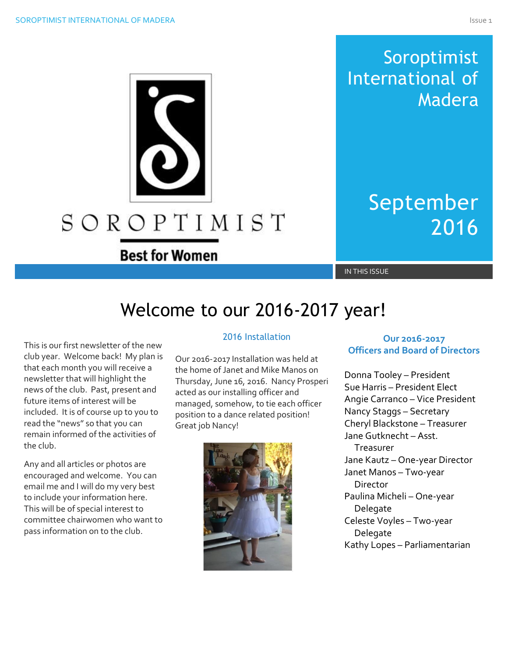## Soroptimist International of Madera

# September 2016

**Best for Women** 

SOROPTIMIST

IN THIS ISSUE

## Welcome to our 2016-2017 year!

This is our first newsletter of the new club year. Welcome back! My plan is that each month you will receive a newsletter that will highlight the news of the club. Past, present and future items of interest will be included. It is of course up to you to read the "news" so that you can remain informed of the activities of the club.

Any and all articles or photos are encouraged and welcome. You can email me and I will do my very best to include your information here. This will be of special interest to committee chairwomen who want to pass information on to the club.

#### 2016 Installation

Our 2016-2017 Installation was held at the home of Janet and Mike Manos on Thursday, June 16, 2016. Nancy Prosperi acted as our installing officer and managed, somehow, to tie each officer position to a dance related position! Great job Nancy!



#### **Our 2016-2017 Officers and Board of Directors**

Donna Tooley – President Sue Harris – President Elect Angie Carranco – Vice President Nancy Staggs – Secretary Cheryl Blackstone – Treasurer Jane Gutknecht – Asst. Treasurer Jane Kautz – One-year Director Janet Manos – Two-year **Director** Paulina Micheli – One-year Delegate Celeste Voyles – Two-year Delegate Kathy Lopes – Parliamentarian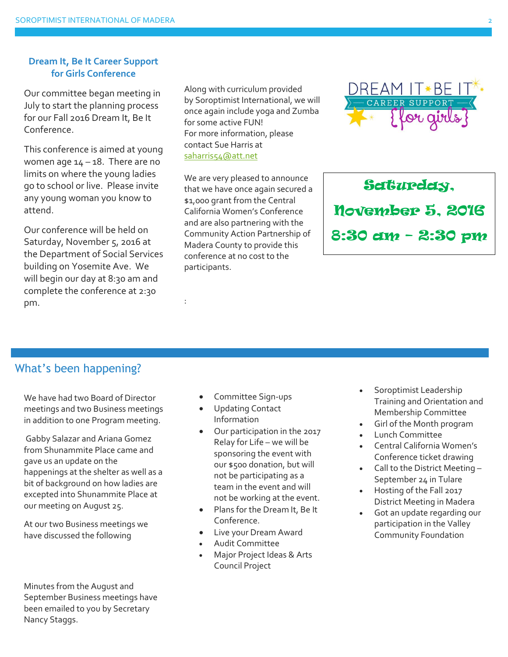#### **Dream It, Be It Career Support for Girls Conference**

Our committee began meeting in July to start the planning process for our Fall 2016 Dream It, Be It Conference.

This conference is aimed at young women age  $14 - 18$ . There are no limits on where the young ladies go to school or live. Please invite any young woman you know to attend.

Our conference will be held on Saturday, November 5, 2016 at the Department of Social Services building on Yosemite Ave. We will begin our day at 8:30 am and complete the conference at 2:30 pm.

Along with curriculum provided by Soroptimist International, we will once again include yoga and Zumba for some active FUN! For more information, please contact Sue Harris at [saharris54@att.net](mailto:saharris54@att.net)

We are very pleased to announce that we have once again secured a \$1,000 grant from the Central California Women's Conference and are also partnering with the Community Action Partnership of Madera County to provide this conference at no cost to the participants.



Saturday, November 5, 2016 8:30 am – 2:30 pm

## What's been happening?

We have had two Board of Director meetings and two Business meetings in addition to one Program meeting.

Gabby Salazar and Ariana Gomez from Shunammite Place came and gave us an update on the happenings at the shelter as well as a bit of background on how ladies are excepted into Shunammite Place at our meeting on August 25.

At our two Business meetings we have discussed the following

Minutes from the August and September Business meetings have been emailed to you by Secretary Nancy Staggs.

Committee Sign-ups

:

- Updating Contact Information
- Our participation in the 2017 Relay for Life – we will be sponsoring the event with our \$500 donation, but will not be participating as a team in the event and will not be working at the event.
- Plans for the Dream It, Be It Conference.
- Live your Dream Award
- Audit Committee
- Major Project Ideas & Arts Council Project
- Soroptimist Leadership Training and Orientation and Membership Committee
- Girl of the Month program
- Lunch Committee
- Central California Women's Conference ticket drawing
- Call to the District Meeting -September 24 in Tulare
- Hosting of the Fall 2017 District Meeting in Madera
- Got an update regarding our participation in the Valley Community Foundation